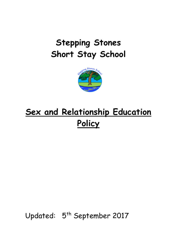# **Stepping Stones Short Stay School**



# **Sex and Relationship Education Policy**

Updated: 5<sup>th</sup> September 2017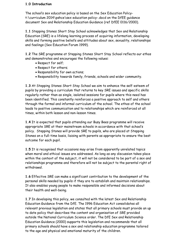#### **1.0 Introduction**

The school's sex education policy is based on the Sex Education Policyt:\curriculum 2014\pshce\sex education policy-.docd on the DfEE guidance document Sex and Relationship Education Guidance (ref DfEE 0116/2000).

**1.1** Stepping Stones Short Stay School acknowledges that Sex and Relationship Education (SRE) is a lifelong learning process of acquiring information, developing skills and forming positive beliefs and attitudes about sex, sexuality, relationships and feelings (Sex Education Forum 1999).

**1.2** The SRE programme at Stepping Stones Short Stay School reflects our ethos and demonstrates and encourages the following values:

- Respect for self;
- Respect for others;
- Responsibility for own actions;
- Responsibility towards family, friends, schools and wider community.

**1.3** At Stepping Stones Short Stay School we aim to enhance the self-esteem of pupils by providing a curriculum that returns to key SRE issues and specific skills regularly rather than as single, isolated sessions for pupils where this need has been identified. This constantly reinforces a positive approach to self and others through the formal and informal curriculum of the school. The ethos of the school leads to positive communication and to relationships which are reinforced at all times, within both lesson and non-lesson times.

**1.4** It is expected that pupils attending our Busy Bees programme will receive appropriate SRE at their mainstream schools in accordance with that school's policy. Stepping Stones will provide SRE to pupils, who are placed at Stepping Stones on a full-time basis, liaising with parents as appropriate to ensure the best outcome for each pupil.

**1.5** It is recognised that occasions may arise from apparently unrelated topics when moral and ethical issues are addressed. As long as any discussion takes place within the context of the subject, it will not be considered to be part of a sex and relationships programme and therefore will not be subject to the parental right of withdrawal.

**1.6** Effective SRE can make a significant contribution to the development of the personal skills needed by pupils if they are to establish and maintain relationships. It also enables young people to make responsible and informed decisions about their health and well-being.

**1.7** In developing this policy, we consulted with the latest Sex and Relationship Education Guidance from the DfE. The 1996 Education Act consolidates all relevant previous legislation and states that all primary schools must provide an up to date policy that describes the content and organisation of SRE provided outside the National Curriculum Science order. The DfE Sex and Relationship Education Guidance (2000) supports this legislation and recommends that all primary schools should have a sex and relationship education programme tailored to the age and physical and emotional maturity of the children.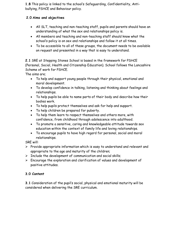**1.8** This policy is linked to the school's Safeguarding, Confidentiality, Antibullying, PSHCE and Behaviour policy.

### **2.0 Aims and objectives**

- All SLT, teaching and non-teaching staff, pupils and parents should have an understanding of what the sex and relationships policy is.
- All members and teaching and non-teaching staff should know what the school's policy is on sex and relationships and follow it at all times.
- To be accessible to all of these groups, the document needs to be available on request and presented in a way that is easy to understand.

**2.1** SRE at Stepping Stones School is based in the framework for PSHCE (Personal, Social, Health and Citizenship Education). School follows the Lancashire Scheme of work for PSHCE.

The aims are;

- To help and support young people through their physical, emotional and moral development.
- To develop confidence in talking, listening and thinking about feelings and relationships.
- To help pupils be able to name parts of their body and describe how their bodies work.
- To help pupils protect themselves and ask for help and support.
- To help children be prepared for puberty.
- To help them learn to respect themselves and others more, with confidence, from childhood through adolescence into adulthood.
- To promote a sensitive, caring and knowledgeable attitude towards sex education within the context of family life and loving relationships.
- To encourage pupils to have high regard for personal, social and moral relationships.

SRE will:

- $\triangleright$  Provide appropriate information which is easy to understand and relevant and appropriate to the age and maturity of the children;
- $\triangleright$  Include the development of communication and social skills;
- $\triangleright$  Encourage the exploration and clarification of values and development of positive attitudes.

## **3.0 Content**

**3.1** Consideration of the pupil's social, physical and emotional maturity will be considered when delivering the SRE curriculum.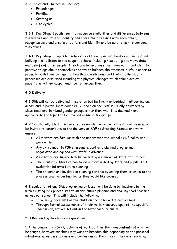**3.2** Topics and Themes will include;

- Friendships
- Families
- Growing up
- Life cycles

**3.3** In Key Stage 1 pupils learn to recognise similarities and differences between themselves and others, identify and share their feelings with each other, recognise safe and unsafe situations and identify and be able to talk to someone they trust.

**3.4** In Key Stage 2 pupils learn to express their opinions about relationships and bullying and to listen to and support others, including respecting the viewpoints and beliefs of other people. They learn to recognise their own worth and identify positive things about themselves and try to balance the stresses in life in order to promote both their own mental health and well-being and that of others. Life processes are discussed including the physical changes which take place at puberty, why they happen and how to manage them.

#### **4.0 Delivery**

**4.1** SRE will not be delivered in isolation but be firmly embedded in all curriculum areas, and in particular through PHSE and Science. SRE is usually delivered by class teachers, in mixed gender groups other than when it is deemed more appropriate for topics to be covered in single sex groups.

**4.2** Occasionally, Health service professionals, particularly the school nurse may be invited to contribute to the delivery of SRE at Stepping Stones; and we will ensure:

- All visitors are familiar with and understand the school's SRE policy and work within it;
- Any extra input to PSHE lessons is part of a planned programme, negotiated and agreed with staff in advance;
- All visitors are supervised/supported by a member of staff at all times;
- The input of visitors is monitored and evaluated by staff and pupils. This evaluation informs future planning.
- The children are involved in planning for this by asking them to write to the professional requesting topics they would like covered.

**4.2** Evaluation of any SRE programme or lesson will be done by teachers in line with existing PRU procedures to inform future planning and sharing good practice across our school. This will include the following;

- Informal judgements as the children are observed during lessons
- Through formal assessments of their work, measured against the specific learning objectives set out in the National Curriculum.

#### **5.0 Responding to children's questions**

**5.1**The Lancashire PSHCE Scheme of work outlines the main contents of what will be taught, however teachers may want to broaden this depending on the personal situations, misunderstandings and confusions of the children they are teaching.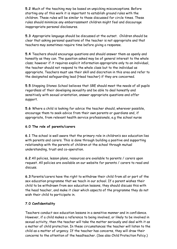**5.2** Much of the teaching may be based on unpicking misconceptions. Before starting any of this work it is important to establish ground rules with the children. These rules will be similar to those discussed for circle times. These rules should minimize any embarrassment children might feel and discourage inappropriate personal disclosures.

**5.3** Appropriate language should be discussed at the outset. Children should be clear that asking personal questions of the teacher is not appropriate and that teachers may sometimes require time before giving a response.

**5.4** Teachers should encourage questions and should answer them as openly and honestly as they can. The question asked may be of general interest to the whole class; however if it requires explicit information appropriate only to an individual, the teacher should not respond to the whole class but to the individual as appropriate. Teachers must use their skill and discretion in this area and refer to the designated safeguarding lead (Head teacher) if they are concerned.

**5.5** Stepping Stones School believes that SRE should meet the needs of all pupils regardless of their developing sexuality and be able to deal honestly and sensitively with sexual orientation, answer appropriate questions and offer support.

**5.6** Where a child is looking for advice the teacher should, wherever possible, encourage them to seek advice from their own parents or guardians and, if appropriate, from relevant health service professionals, e.g the school nurse

#### **6.0 The role of parents/carers**

**6.1** The school is well aware that the primary role in children's sex education lies with parents and carers. This is done through building a positive and supporting relationship with the parents of children at the school through mutual understanding, trust and co-operation.

**6.2** All policies, lesson plans, resources are available to parents / carers upon request. All policies are available on our website for parents / carers to read and discuss.

**6.3** Parents/carers have the right to withdraw their child from all or part of the sex education programme that we teach in our school. If a parent wishes their child to be withdrawn from sex education lessons, they should discuss this with the head teacher, and make it clear which aspects of the programme they do not wish their child to participate in.

#### **7.0 Confidentiality**

Teachers conduct sex education lessons in a sensitive manner and in confidence. However, if a child makes a reference to being involved, or likely to be involved in sexual activity, then the teacher will take the matter seriously and deal with it as a matter of child protection. In these circumstances the teacher will listen to the child as a matter of urgency. If the teacher has concerns, they will draw their concerns to the attention of the headteacher. (See also Child Protection Policy.)